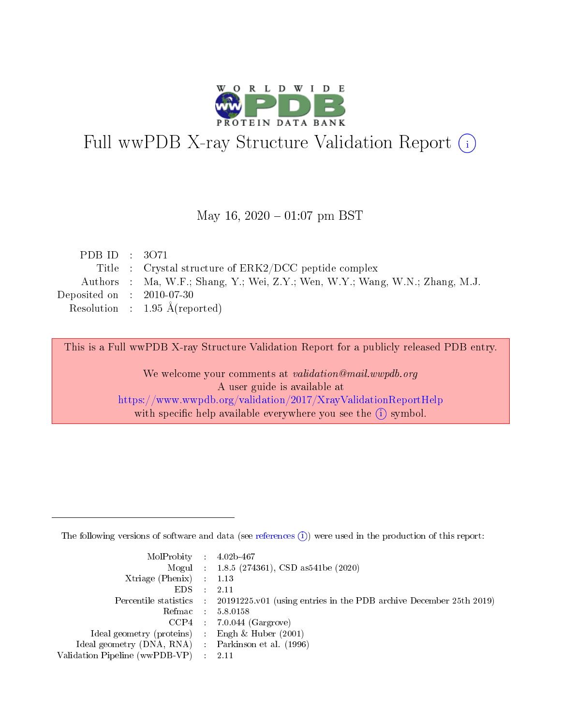

# Full wwPDB X-ray Structure Validation Report (i)

#### May 16,  $2020 - 01:07$  pm BST

| PDB ID : $3071$             |                                                                              |
|-----------------------------|------------------------------------------------------------------------------|
|                             | Title : Crystal structure of ERK2/DCC peptide complex                        |
|                             | Authors : Ma, W.F.; Shang, Y.; Wei, Z.Y.; Wen, W.Y.; Wang, W.N.; Zhang, M.J. |
| Deposited on : $2010-07-30$ |                                                                              |
|                             | Resolution : $1.95 \text{ Å}$ (reported)                                     |

This is a Full wwPDB X-ray Structure Validation Report for a publicly released PDB entry.

We welcome your comments at validation@mail.wwpdb.org A user guide is available at <https://www.wwpdb.org/validation/2017/XrayValidationReportHelp> with specific help available everywhere you see the  $(i)$  symbol.

The following versions of software and data (see [references](https://www.wwpdb.org/validation/2017/XrayValidationReportHelp#references)  $(1)$ ) were used in the production of this report:

| MolProbity : $4.02b-467$                            |                                                                                              |
|-----------------------------------------------------|----------------------------------------------------------------------------------------------|
|                                                     | Mogul : 1.8.5 (274361), CSD as 541 be (2020)                                                 |
| Xtriage (Phenix) $: 1.13$                           |                                                                                              |
| $EDS$ :                                             | -2.11                                                                                        |
|                                                     | Percentile statistics : $20191225.v01$ (using entries in the PDB archive December 25th 2019) |
| Refmac : 5.8.0158                                   |                                                                                              |
|                                                     | $CCP4$ : 7.0.044 (Gargrove)                                                                  |
| Ideal geometry (proteins) :                         | Engh $\&$ Huber (2001)                                                                       |
| Ideal geometry (DNA, RNA) : Parkinson et al. (1996) |                                                                                              |
| Validation Pipeline (wwPDB-VP) : 2.11               |                                                                                              |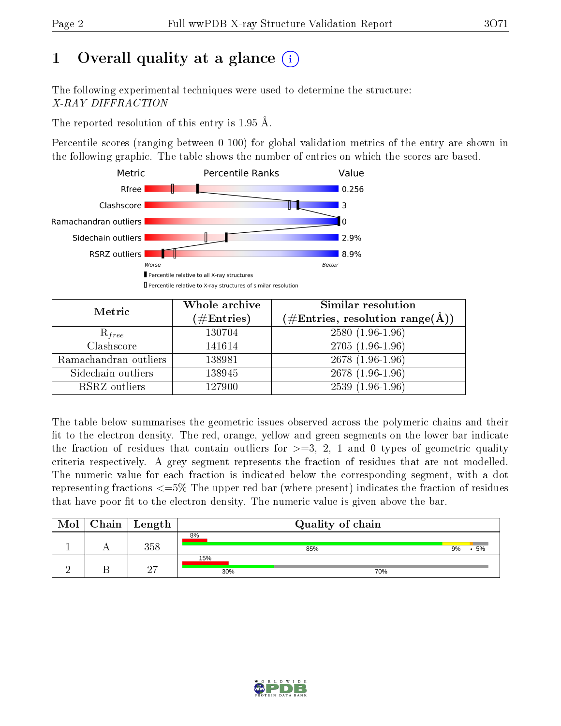## 1 [O](https://www.wwpdb.org/validation/2017/XrayValidationReportHelp#overall_quality)verall quality at a glance  $(i)$

The following experimental techniques were used to determine the structure: X-RAY DIFFRACTION

The reported resolution of this entry is 1.95 Å.

Percentile scores (ranging between 0-100) for global validation metrics of the entry are shown in the following graphic. The table shows the number of entries on which the scores are based.



| Metric                | Whole archive<br>$(\#\mathrm{Entries})$ | Similar resolution<br>$(\#\text{Entries}, \text{resolution range}(\textup{\AA}))$ |
|-----------------------|-----------------------------------------|-----------------------------------------------------------------------------------|
| $R_{free}$            | 130704                                  | $2580(1.96-1.96)$                                                                 |
| Clashscore            | 141614                                  | $2705(1.96-1.96)$                                                                 |
| Ramachandran outliers | 138981                                  | $2678(1.96-1.96)$                                                                 |
| Sidechain outliers    | 138945                                  | $2678(1.96-1.96)$                                                                 |
| RSRZ outliers         | 127900                                  | $2539(1.96-1.96)$                                                                 |

The table below summarises the geometric issues observed across the polymeric chains and their fit to the electron density. The red, orange, yellow and green segments on the lower bar indicate the fraction of residues that contain outliers for  $>=3, 2, 1$  and 0 types of geometric quality criteria respectively. A grey segment represents the fraction of residues that are not modelled. The numeric value for each fraction is indicated below the corresponding segment, with a dot representing fractions <=5% The upper red bar (where present) indicates the fraction of residues that have poor fit to the electron density. The numeric value is given above the bar.

| Mol | $C$ hain   Length | Quality of chain |     |          |  |  |
|-----|-------------------|------------------|-----|----------|--|--|
|     | 358               | 8%               | 85% | 5%<br>9% |  |  |
|     | $\Omega$          | 15%<br>30%       | 70% |          |  |  |

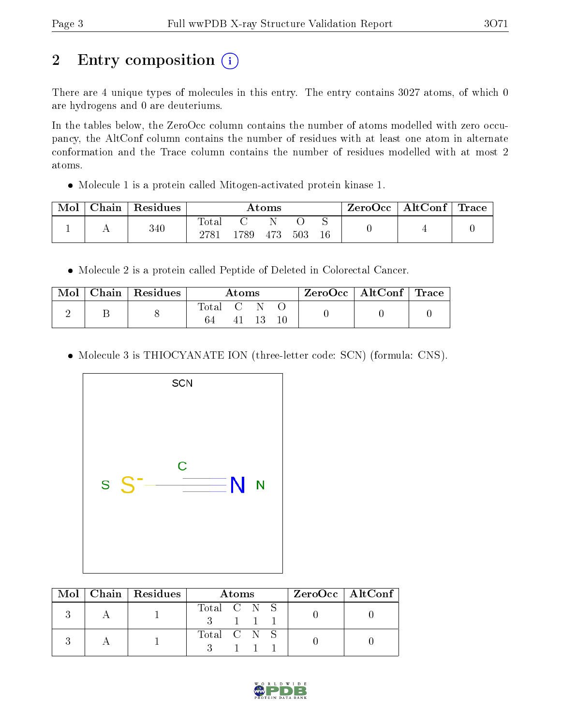## 2 Entry composition (i)

There are 4 unique types of molecules in this entry. The entry contains 3027 atoms, of which 0 are hydrogens and 0 are deuteriums.

In the tables below, the ZeroOcc column contains the number of atoms modelled with zero occupancy, the AltConf column contains the number of residues with at least one atom in alternate conformation and the Trace column contains the number of residues modelled with at most 2 atoms.

Molecule 1 is a protein called Mitogen-activated protein kinase 1.

| Mol | Chain | Residues | Atoms                  |     |     |     | ZeroOcc | $^\vdash$ Alt $\text{Conf} \mid \text{Trace}$ |  |  |
|-----|-------|----------|------------------------|-----|-----|-----|---------|-----------------------------------------------|--|--|
|     |       | 340      | $\mathrm{Tota}$<br>278 | 789 | 473 | 503 | $16\,$  |                                               |  |  |

Molecule 2 is a protein called Peptide of Deleted in Colorectal Cancer.

| Mol | $\pm$ Chain   Residues $^+$ | $\rm{Atoms}$ |  |       |  | ZeroOcc   AltConf   Trace |  |
|-----|-----------------------------|--------------|--|-------|--|---------------------------|--|
|     |                             | Total C      |  | 41 13 |  |                           |  |

• Molecule 3 is THIOCYANATE ION (three-letter code: SCN) (formula: CNS).



|  | Mol   Chain   Residues | Atoms                   | $ZeroOcc \   \ AltConf \  $ |
|--|------------------------|-------------------------|-----------------------------|
|  |                        | Total C N S<br>$-1$ 1 1 |                             |
|  |                        | Total C N S             |                             |

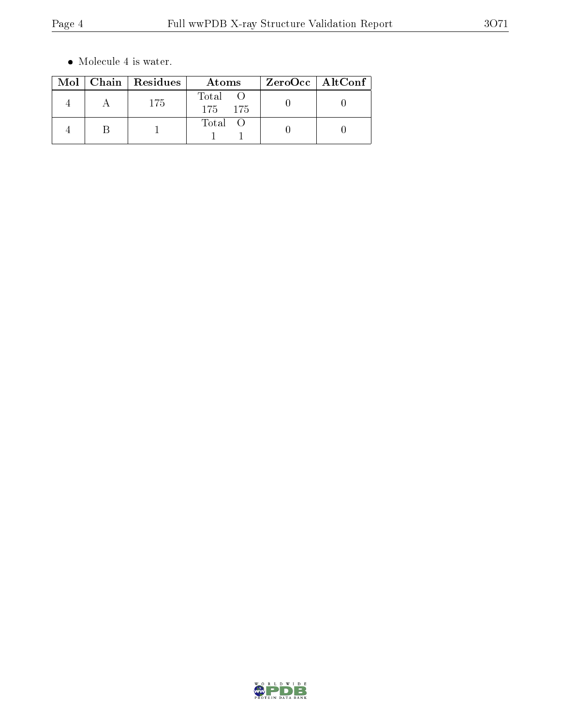$\bullet\,$  Molecule 4 is water.

|  | Mol   Chain   Residues | Atoms            | ZeroOcc   AltConf |  |
|--|------------------------|------------------|-------------------|--|
|  | 175                    | Total<br>175 175 |                   |  |
|  |                        | Total            |                   |  |

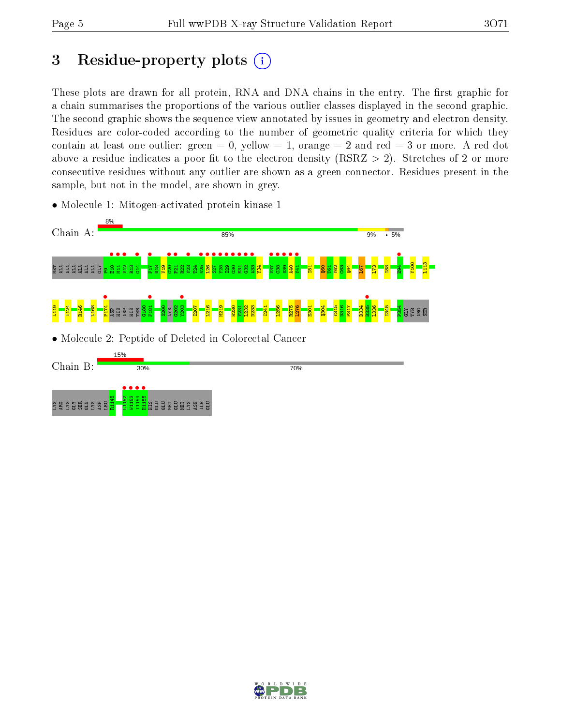### 3 Residue-property plots  $(i)$

These plots are drawn for all protein, RNA and DNA chains in the entry. The first graphic for a chain summarises the proportions of the various outlier classes displayed in the second graphic. The second graphic shows the sequence view annotated by issues in geometry and electron density. Residues are color-coded according to the number of geometric quality criteria for which they contain at least one outlier: green  $= 0$ , yellow  $= 1$ , orange  $= 2$  and red  $= 3$  or more. A red dot above a residue indicates a poor fit to the electron density (RSRZ  $> 2$ ). Stretches of 2 or more consecutive residues without any outlier are shown as a green connector. Residues present in the sample, but not in the model, are shown in grey.

• Molecule 1: Mitogen-activated protein kinase 1



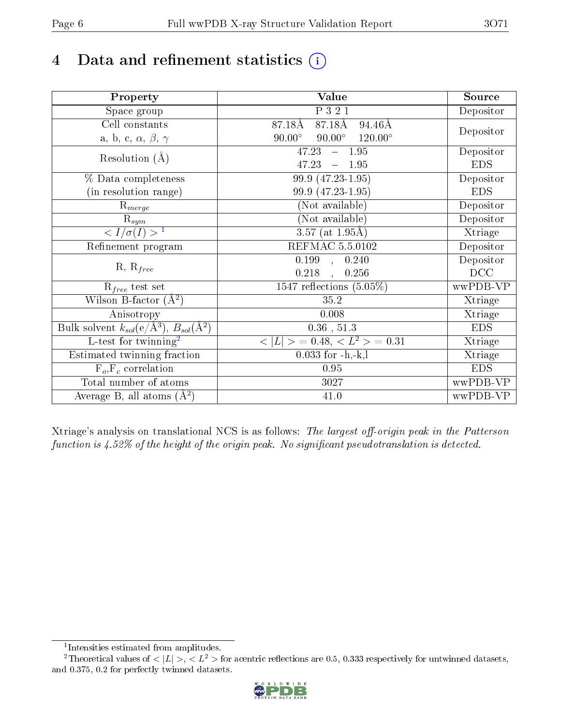## 4 Data and refinement statistics  $(i)$

| Property                                                             | Value                                              | Source     |
|----------------------------------------------------------------------|----------------------------------------------------|------------|
| Space group                                                          | P 3 2 1                                            | Depositor  |
| Cell constants                                                       | 87.18Å<br>87.18Å<br>94.46Å                         |            |
| a, b, c, $\alpha,\,\beta,\,\gamma$                                   | $90.00^\circ$<br>$90.00^\circ$<br>$120.00^{\circ}$ | Depositor  |
| Resolution $(A)$                                                     | $-1.95$<br>47.23                                   | Depositor  |
|                                                                      | 47.23<br>1.95<br>$\equiv$                          | <b>EDS</b> |
| % Data completeness                                                  | 99.9 (47.23-1.95)                                  | Depositor  |
| (in resolution range)                                                | 99.9 (47.23-1.95)                                  | <b>EDS</b> |
| $R_{merge}$                                                          | (Not available)                                    | Depositor  |
| $\mathrm{R}_{sym}$                                                   | (Not available)                                    | Depositor  |
| $\sqrt{I/\sigma}(I) > 1$                                             | $3.57$ (at 1.95Å)                                  | Xtriage    |
| Refinement program                                                   | REFMAC 5.5.0102                                    | Depositor  |
|                                                                      | $\overline{0.199}$ ,<br>0.240                      | Depositor  |
| $R, R_{free}$                                                        | 0.218<br>0.256                                     | DCC        |
| $R_{free}$ test set                                                  | 1547 reflections $(5.05\%)$                        | wwPDB-VP   |
| Wilson B-factor $(A^2)$                                              | 35.2                                               | Xtriage    |
| Anisotropy                                                           | 0.008                                              | Xtriage    |
| Bulk solvent $k_{sol}(e/\mathring{A}^3)$ , $B_{sol}(\mathring{A}^2)$ | $0.36$ , $51.3$                                    | <b>EDS</b> |
| L-test for twinning <sup>2</sup>                                     | $< L >$ = 0.48, $< L2$ = 0.31                      | Xtriage    |
| Estimated twinning fraction                                          | $0.033$ for $-h,-k,l$                              | Xtriage    |
| $F_o, F_c$ correlation                                               | 0.95                                               | <b>EDS</b> |
| Total number of atoms                                                | 3027                                               | wwPDB-VP   |
| Average B, all atoms $(A^2)$                                         | $41.0\,$                                           | wwPDB-VP   |

Xtriage's analysis on translational NCS is as follows: The largest off-origin peak in the Patterson function is  $4.52\%$  of the height of the origin peak. No significant pseudotranslation is detected.

<sup>&</sup>lt;sup>2</sup>Theoretical values of  $\langle |L| \rangle$ ,  $\langle L^2 \rangle$  for acentric reflections are 0.5, 0.333 respectively for untwinned datasets, and 0.375, 0.2 for perfectly twinned datasets.



<span id="page-5-1"></span><span id="page-5-0"></span><sup>1</sup> Intensities estimated from amplitudes.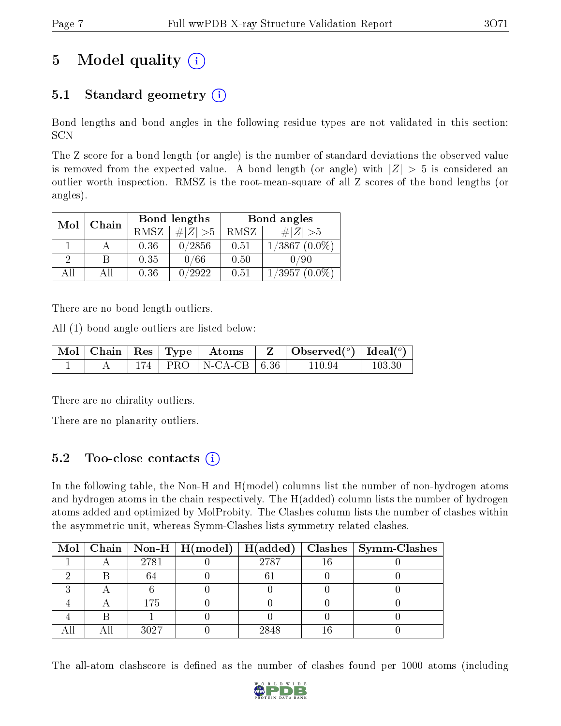### 5 Model quality  $(i)$

### 5.1 Standard geometry  $(i)$

Bond lengths and bond angles in the following residue types are not validated in this section: SCN

The Z score for a bond length (or angle) is the number of standard deviations the observed value is removed from the expected value. A bond length (or angle) with  $|Z| > 5$  is considered an outlier worth inspection. RMSZ is the root-mean-square of all Z scores of the bond lengths (or angles).

| Mol | Chain |      | Bond lengths | Bond angles |                 |  |
|-----|-------|------|--------------|-------------|-----------------|--|
|     |       | RMSZ | $\# Z  > 5$  | RMSZ        | # $ Z  > 5$     |  |
|     |       | 0.36 | 0/2856       | 0.51        | $1/3867(0.0\%)$ |  |
| 2   | B     | 0.35 | 0/66         | 0.50        | /90             |  |
| AĦ  | AIL   | 0.36 | 0/2922       | 0.51        | $1/3957(0.0\%)$ |  |

There are no bond length outliers.

All (1) bond angle outliers are listed below:

|  |  | $\mid$ Mol $\mid$ Chain $\mid$ Res $\mid$ Type $\mid$ Atoms $\mid$ | $\vert Z \vert$ Observed $(^\circ)$   Ideal $(^\circ)$ |        |
|--|--|--------------------------------------------------------------------|--------------------------------------------------------|--------|
|  |  | $174$   PRO   N-CA-CB   6.36                                       | 110.94                                                 | 103.30 |

There are no chirality outliers.

There are no planarity outliers.

#### 5.2 Too-close contacts (i)

In the following table, the Non-H and H(model) columns list the number of non-hydrogen atoms and hydrogen atoms in the chain respectively. The H(added) column lists the number of hydrogen atoms added and optimized by MolProbity. The Clashes column lists the number of clashes within the asymmetric unit, whereas Symm-Clashes lists symmetry related clashes.

|  |      |      | Mol   Chain   Non-H   H(model)   H(added)   Clashes   Symm-Clashes |
|--|------|------|--------------------------------------------------------------------|
|  | 2781 | 2787 |                                                                    |
|  |      |      |                                                                    |
|  |      |      |                                                                    |
|  | 175  |      |                                                                    |
|  |      |      |                                                                    |
|  | 3027 | 2848 |                                                                    |

The all-atom clashscore is defined as the number of clashes found per 1000 atoms (including

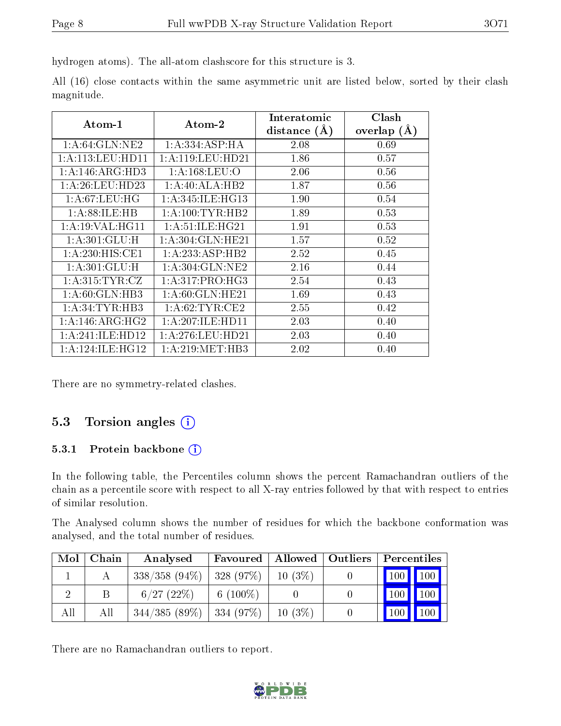hydrogen atoms). The all-atom clashscore for this structure is 3.

All (16) close contacts within the same asymmetric unit are listed below, sorted by their clash magnitude.

| $\boldsymbol{\mathrm{Atom}\text{-}1}$ | Atom-2              | Interatomic    | Clash         |
|---------------------------------------|---------------------|----------------|---------------|
|                                       |                     | distance $(A)$ | overlap $(A)$ |
| 1: A:64: GLN:NE2                      | 1:A:334:ASP:HA      | 2.08           | 0.69          |
| 1: A: 113: LEU: HD11                  | 1:A:119:LEU:HD21    | 1.86           | 0.57          |
| 1:A:146:ARG:HD3                       | 1: A: 168: LEU: O   | 2.06           | 0.56          |
| 1: A:26:LEU:HD23                      | 1:A:40:ALA:HB2      | 1.87           | 0.56          |
| 1: A:67:LEU:HG                        | 1: A:345: ILE: HG13 | 1.90           | 0.54          |
| 1: A:88: ILE: HB                      | 1: A: 100: TYR: HB2 | 1.89           | 0.53          |
| 1: A:19: VAL: HG11                    | 1: A:51: ILE: HG21  | 1.91           | 0.53          |
| 1: A:301: GLU: H                      | 1: A:304: GLN: HE21 | 1.57           | 0.52          |
| 1: A:230:HIS:CE1                      | 1:A:233:ASP:HB2     | 2.52           | 0.45          |
| 1:A:301:GLU:H                         | 1: A:304: GLN:NE2   | 2.16           | 0.44          |
| 1: A:315: TYR: CZ                     | 1: A:317: PRO:HG3   | 2.54           | 0.43          |
| 1:A:60:GLN:HB3                        | 1:A:60:GLN:HE21     | 1.69           | 0.43          |
| 1: A:34:TYR:HB3                       | 1: A:62:TYR:CE2     | 2.55           | 0.42          |
| 1: A:146: ARG: HG2                    | 1: A:207: ILE: HDI1 | 2.03           | 0.40          |
| 1:A:241:ILE:HD12                      | 1: A:276:LEU:HD21   | 2.03           | 0.40          |
| 1: A:124: ILE: HG12                   | 1:A:219:MET:HB3     | 2.02           | 0.40          |

There are no symmetry-related clashes.

#### 5.3 Torsion angles (i)

#### 5.3.1 Protein backbone (i)

In the following table, the Percentiles column shows the percent Ramachandran outliers of the chain as a percentile score with respect to all X-ray entries followed by that with respect to entries of similar resolution.

The Analysed column shows the number of residues for which the backbone conformation was analysed, and the total number of residues.

| Mol | Chain | Analysed                      | Favoured   Allowed   Outliers |           | Percentiles           |                    |
|-----|-------|-------------------------------|-------------------------------|-----------|-----------------------|--------------------|
|     |       | $338/358$ (94\%)   328 (97\%) |                               | $10(3\%)$ | $\mid$ 100 $\mid$ 100 |                    |
|     |       | $6/27$ (22\%)                 | $6(100\%)$                    |           | 100 <sub>1</sub>      | $\blacksquare$ 100 |
| All | Аll   | $344/385(89\%)$ 334 (97\%)    |                               | $10(3\%)$ | $"100$ ,              | $\sqrt{100}$       |

There are no Ramachandran outliers to report.

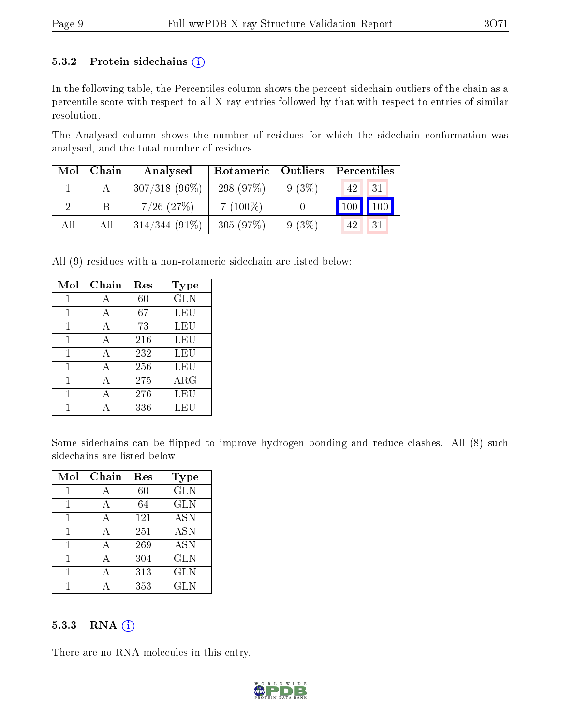#### 5.3.2 Protein sidechains  $(i)$

In the following table, the Percentiles column shows the percent sidechain outliers of the chain as a percentile score with respect to all X-ray entries followed by that with respect to entries of similar resolution.

The Analysed column shows the number of residues for which the sidechain conformation was analysed, and the total number of residues.

| Mol | Chain | Analysed         | Rotameric   Outliers |          | Percentiles           |  |  |
|-----|-------|------------------|----------------------|----------|-----------------------|--|--|
|     |       | $307/318$ (96\%) | 298 (97\%)           | $9(3\%)$ | 31<br>42 <sup>1</sup> |  |  |
|     |       | $7/26$ $(27%)$   | $7(100\%)$           |          | $\vert$ 100<br>100    |  |  |
| All | All   | $314/344(91\%)$  | 305(97%)             | 9(3%)    | 31<br>42              |  |  |

All (9) residues with a non-rotameric sidechain are listed below:

| Mol | Chain | Res | Type        |
|-----|-------|-----|-------------|
| 1   | A     | 60  | <b>GLN</b>  |
| 1   | A     | 67  | LEU         |
| 1   | A     | 73  | LEU         |
| 1   | A     | 216 | LEU         |
| 1   | А     | 232 | LEU         |
| 1   | A     | 256 | LEU         |
| 1   | A     | 275 | ${\rm ARG}$ |
| 1   | А     | 276 | LEU         |
|     |       | 336 | LEU         |

Some sidechains can be flipped to improve hydrogen bonding and reduce clashes. All (8) such sidechains are listed below:

| Mol | Chain | Res | <b>Type</b> |
|-----|-------|-----|-------------|
| 1   | А     | 60  | <b>GLN</b>  |
| 1   | A     | 64  | <b>GLN</b>  |
| 1   | А     | 121 | <b>ASN</b>  |
|     |       | 251 | <b>ASN</b>  |
| 1   | А     | 269 | <b>ASN</b>  |
| 1   | А     | 304 | <b>GLN</b>  |
|     |       | 313 | <b>GLN</b>  |
|     |       | 353 | GLN         |

#### 5.3.3 RNA (i)

There are no RNA molecules in this entry.

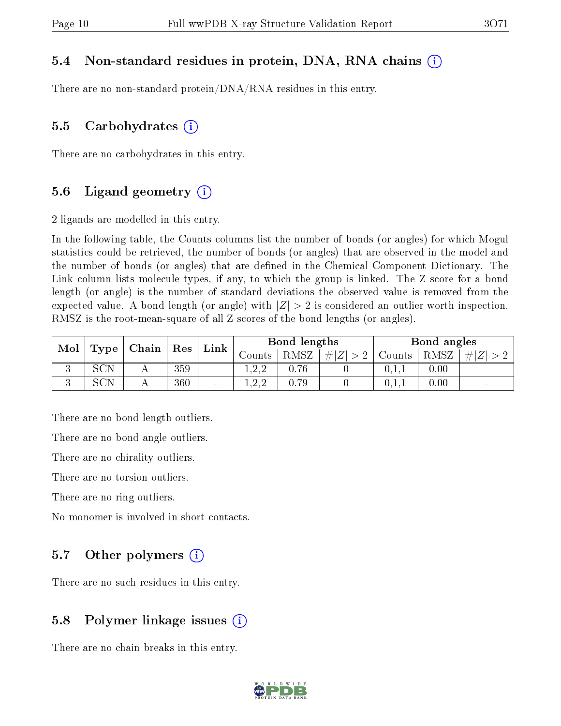#### 5.4 Non-standard residues in protein, DNA, RNA chains (i)

There are no non-standard protein/DNA/RNA residues in this entry.

#### 5.5 Carbohydrates  $(i)$

There are no carbohydrates in this entry.

#### 5.6 Ligand geometry  $(i)$

2 ligands are modelled in this entry.

In the following table, the Counts columns list the number of bonds (or angles) for which Mogul statistics could be retrieved, the number of bonds (or angles) that are observed in the model and the number of bonds (or angles) that are dened in the Chemical Component Dictionary. The Link column lists molecule types, if any, to which the group is linked. The Z score for a bond length (or angle) is the number of standard deviations the observed value is removed from the expected value. A bond length (or angle) with  $|Z| > 2$  is considered an outlier worth inspection. RMSZ is the root-mean-square of all Z scores of the bond lengths (or angles).

| Mol |            | $\mid$ Chain |     |                          | Bond lengths<br>Res<br>$Link_1$ |      |           |        | Bond angles |     |
|-----|------------|--------------|-----|--------------------------|---------------------------------|------|-----------|--------|-------------|-----|
|     | Type       |              |     |                          | Jounts -                        | RMSZ | # Z <br>റ | Counts | RMSZ        | H Z |
| ιJ  | SCN        |              | 359 | $\blacksquare$           | ്ററ<br>1.4.4                    | 0.76 |           | 0,1,1  | 0.00        |     |
| ◡   | <b>SCN</b> |              | 360 | $\overline{\phantom{a}}$ | ്ററ<br>1.4.4                    | 0.79 |           | 0,1,1  | 0.00        |     |

There are no bond length outliers.

There are no bond angle outliers.

There are no chirality outliers.

There are no torsion outliers.

There are no ring outliers.

No monomer is involved in short contacts.

#### 5.7 [O](https://www.wwpdb.org/validation/2017/XrayValidationReportHelp#nonstandard_residues_and_ligands)ther polymers  $(i)$

There are no such residues in this entry.

#### 5.8 Polymer linkage issues  $(i)$

There are no chain breaks in this entry.

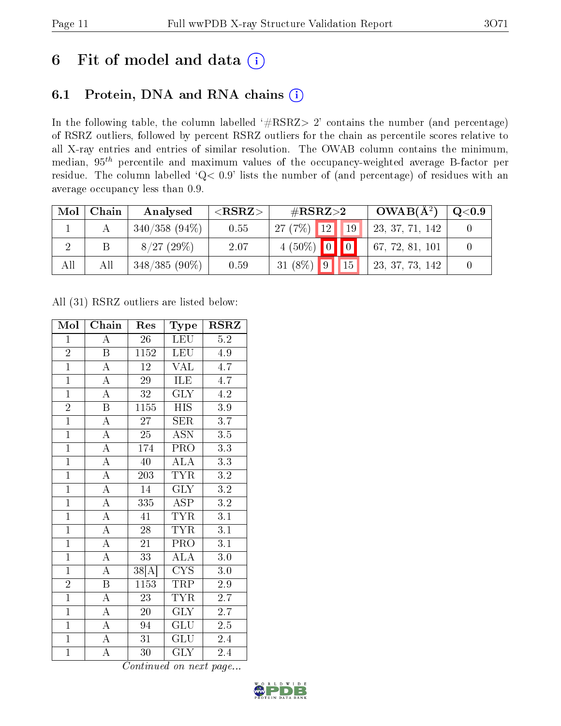### 6 Fit of model and data  $(i)$

### 6.1 Protein, DNA and RNA chains  $(i)$

In the following table, the column labelled  $#RSRZ> 2'$  contains the number (and percentage) of RSRZ outliers, followed by percent RSRZ outliers for the chain as percentile scores relative to all X-ray entries and entries of similar resolution. The OWAB column contains the minimum, median,  $95<sup>th</sup>$  percentile and maximum values of the occupancy-weighted average B-factor per residue. The column labelled ' $Q< 0.9$ ' lists the number of (and percentage) of residues with an average occupancy less than 0.9.

| Mol | Chain | Analysed        | ${ <\hspace{-1.5pt}{\mathrm{RSRZ}} \hspace{-1.5pt}>}$ | $\#\text{RSRZ}\text{>2}$        | $OWAB(A^2)$     | $\mathrm{Q}{<}0.9$ |
|-----|-------|-----------------|-------------------------------------------------------|---------------------------------|-----------------|--------------------|
|     |       | $340/358(94\%)$ | 0.55                                                  | $27(7%)$ 12<br>$\vert 19 \vert$ | 23, 37, 71, 142 |                    |
|     |       | 8/27(29%)       | 2.07                                                  | $4(50\%)$ 0 0                   | 67, 72, 81, 101 |                    |
| All | All   | $348/385(90\%)$ | 0.59                                                  | $31 (8\%)$ 9 15                 | 23, 37, 73, 142 |                    |

All (31) RSRZ outliers are listed below:

| $\overline{\text{Mol}}$ | Chain                   | Res                         | Type                            | <b>RSRZ</b>      |
|-------------------------|-------------------------|-----------------------------|---------------------------------|------------------|
| $\overline{1}$          | $\overline{A}$          | 26                          | LEU                             | $\overline{5.2}$ |
| $\frac{2}{1}$           | $\overline{\mathbf{B}}$ | 1152                        | <b>LEU</b>                      | 4.9              |
|                         | $\overline{A}$          | $\overline{12}$             | <b>VAL</b>                      | 4.7              |
| $\overline{1}$          | $\overline{A}$          | $\overline{29}$             | ILE                             | 4.7              |
| $\overline{1}$          | $\overline{A}$          | $\overline{32}$             | $\overline{\text{GLY}}$         | $\overline{4.2}$ |
| $\overline{2}$          | $\overline{\mathrm{B}}$ | $\overline{1155}$           | <b>HIS</b>                      | $\overline{3.9}$ |
| $\overline{1}$          | $\overline{A}$          | 27                          | SER                             | 3.7              |
| $\overline{1}$          | $\overline{A}$          | $\overline{25}$             | $\overline{\mathrm{ASN}}$       | $\overline{3.5}$ |
| $\overline{1}$          | $\overline{\rm A}$      | 174                         | PRO                             | 3.3              |
| $\overline{1}$          | $\overline{A}$          | $\overline{40}$             | $\overline{\rm ALA}$            | $\overline{3.3}$ |
| $\overline{1}$          | $\overline{A}$          | $\overline{203}$            | <b>TYR</b>                      | 3.2              |
| $\overline{1}$          | $\overline{A}$          | $\overline{14}$             | $\overline{\text{GLY}}$         | $\overline{3.2}$ |
| $\overline{1}$          | $\overline{\rm A}$      | 335                         | <b>ASP</b>                      | $3.2\,$          |
| $\overline{1}$          | $\overline{A}$          | $\overline{41}$             | <b>TYR</b>                      | $\overline{3.1}$ |
| $\overline{1}$          | $\overline{A}$          | $\overline{28}$             | <b>TYR</b>                      | $\overline{3.1}$ |
| $\mathbf{1}$            | $\overline{\rm A}$      | 21                          | $PR\overline{O}$                | 3.1              |
| $\overline{1}$          | $\overline{A}$          | $\overline{33}$             | <b>ALA</b>                      | $\overline{3.0}$ |
| $\overline{1}$          | $\overline{A}$          | $\overline{3}8[\mathrm{A}]$ | $\overline{\text{C} \text{YS}}$ | 3.0              |
| $\overline{2}$          | $\overline{\mathrm{B}}$ | 1153                        | <b>TRP</b>                      | $2.9\,$          |
| $\overline{1}$          | $\overline{\rm A}$      | $\overline{23}$             | <b>TYR</b>                      | $\overline{2.7}$ |
| $\overline{1}$          | $\overline{A}$          | 20                          | $\overline{\text{GLY}}$         | $\overline{2.7}$ |
| $\overline{1}$          | $\overline{A}$          | 94                          | $\overline{\mathrm{GLU}}$       | $2.5\,$          |
| $\overline{1}$          | $\overline{A}$          | 31                          | GLU                             | 2.4              |
| $\overline{1}$          | $\overline{\rm A}$      | 30                          | <b>GLY</b>                      | 2.4              |

Continued on next page...